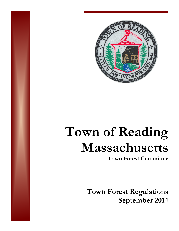

# **Town of Reading Massachusetts**

**Town Forest Committee** 

**Town Forest Regulations September 2014**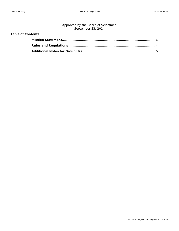# Approved by the Board of Selectmen September 23, 2014

# **Table of Contents**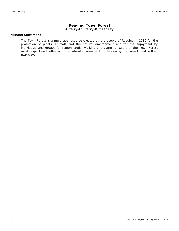# **Reading Town Forest**  *A Carry-In, Carry-Out Facility*

### **Mission Statement**

The Town Forest is a multi-use resource created by the people of Reading in 1930 for the protection of plants, animals and the natural environment and for the enjoyment by individuals and groups for nature study, walking and camping. Users of the Town Forest must respect each other and the natural environment as they enjoy the Town Forest in their own way.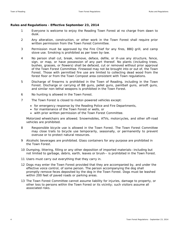### **Rules and Regulations - Effective September 23, 2014**

- 1 Everyone is welcome to enjoy the Reading Town Forest at no charge from dawn to dusk.
- 2 Any alteration, construction, or other work in the Town Forest shall require prior written permission from the Town Forest Committee.
- 3 Permission must be approved by the Fire Chief for any fires, BBQ grill, and camp stove use. Smoking is prohibited as per town by-law.
- 4 No person shall cut, break, remove, deface, defile, or ill-use any structure, fence, sign, or map, or have possession of any part thereof. No plants (including trees, bushes, grasses, or flowers) shall be defaced, cut or removed without prior approval of the Town Forest Committee. Firewood may not be brought into or out of, the Town Forest. Those with permitted fire use are limited to collecting dead wood from the forest floor or from the Town Compost area consistent with Town regulations.
- 5 Discharge of firearms is prohibited in the Town of Reading, including in the Town Forest. Discharge or carrying of BB guns, pellet guns, paintball guns, airsoft guns, and similar non-lethal weapons is prohibited in the Town Forest.
- 6 No hunting is allowed in the Town Forest.
- 7 The Town Forest is closed to motor-powered vehicles except:
	- for emergency response by the Reading Police and Fire Departments,
	- for maintenance of the Town Forest or wells, or
	- with prior written permission of the Town Forest Committee.

Motorized wheelchairs are allowed. Snowmobiles, ATVs, motorcycles, and other off-road vehicles are prohibited.

- 8 Responsible bicycle use is allowed in the Town Forest. The Town Forest Committee may close trails to bicycle use temporarily, seasonally, or permanently to prevent overuse or to protect natural resources.
- 9 Alcoholic beverages are prohibited. Glass containers for any purpose are prohibited in the Town Forest.
- 10 Dumping, littering, filling or any other deposition of imported materials--including but not limited to garbage, debris, earth, leaves or brush-- is prohibited in the Town Forest.
- 11 Users must carry out everything that they carry in.
- 12 Dogs may enter the Town Forest provided that they are accompanied by, and under the effective voice control, of some person. The person accompanying the dog shall promptly remove feces deposited by the dog in the Town Forest. Dogs must be leashed within 200 feet of paved roads or parking areas.
- 13 The Town Forest Committee cannot assume liability for injuries, damage to property, or other loss to persons within the Town Forest or its vicinity; such visitors assume all associated risks.